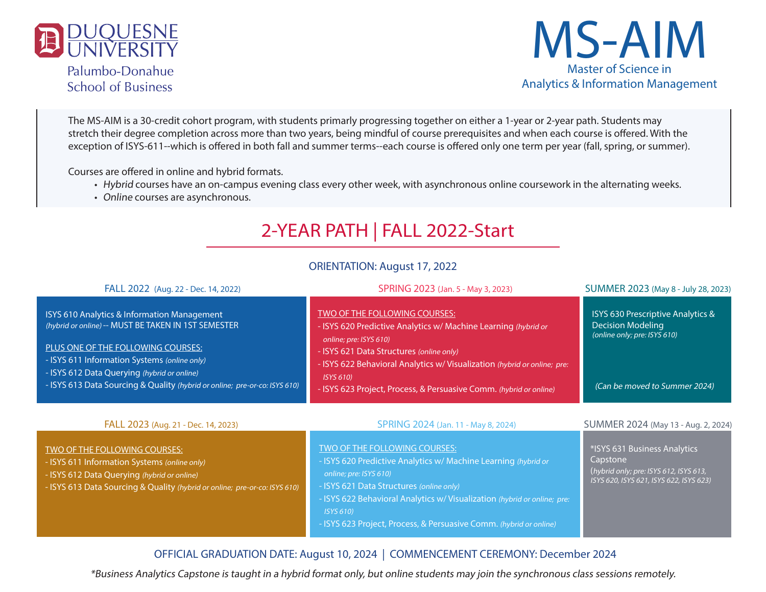

Palumbo-Donahue **School of Business** 



The MS-AIM is a 30-credit cohort program, with students primarly progressing together on either a 1-year or 2-year path. Students may stretch their degree completion across more than two years, being mindful of course prerequisites and when each course is offered. With the exception of ISYS-611--which is offered in both fall and summer terms--each course is offered only one term per year (fall, spring, or summer).

Courses are offered in online and hybrid formats.

- Hybrid courses have an on-campus evening class every other week, with asynchronous online coursework in the alternating weeks.
- Online courses are asynchronous.

# 2-YEAR PATH | FALL 2022-Start

#### ORIENTATION: August 17, 2022

| FALL 2022 (Aug. 22 - Dec. 14, 2022)                                                                                                                                                                                                                                                                                   | SPRING 2023 (Jan. 5 - May 3, 2023)                                                                                                                                                                                                                                                                                                   | SUMMER 2023 (May 8 - July 28, 2023)                                                                                                       |
|-----------------------------------------------------------------------------------------------------------------------------------------------------------------------------------------------------------------------------------------------------------------------------------------------------------------------|--------------------------------------------------------------------------------------------------------------------------------------------------------------------------------------------------------------------------------------------------------------------------------------------------------------------------------------|-------------------------------------------------------------------------------------------------------------------------------------------|
| ISYS 610 Analytics & Information Management<br>(hybrid or online) -- MUST BE TAKEN IN 1ST SEMESTER<br>PLUS ONE OF THE FOLLOWING COURSES:<br>- ISYS 611 Information Systems (online only)<br>- ISYS 612 Data Querying (hybrid or online)<br>- ISYS 613 Data Sourcing & Quality (hybrid or online; pre-or-co: ISYS 610) | TWO OF THE FOLLOWING COURSES:<br>- ISYS 620 Predictive Analytics w/ Machine Learning (hybrid or<br>online; pre: ISYS 610)<br>- ISYS 621 Data Structures (online only)<br>- ISYS 622 Behavioral Analytics w/ Visualization (hybrid or online; pre:<br>ISYS 610)<br>- ISYS 623 Project, Process, & Persuasive Comm. (hybrid or online) | <b>ISYS 630 Prescriptive Analytics &amp;</b><br><b>Decision Modeling</b><br>(online only; pre: ISYS 610)<br>(Can be moved to Summer 2024) |
| FALL 2023 (Aug. 21 - Dec. 14, 2023)                                                                                                                                                                                                                                                                                   | SPRING 2024 (Jan. 11 - May 8, 2024)                                                                                                                                                                                                                                                                                                  | SUMMER 2024 (May 13 - Aug. 2, 2024)                                                                                                       |
| TWO OF THE FOLLOWING COURSES:<br>- ISYS 611 Information Systems (online only)<br>ICVC $\ell$ 10 Details Original depth $\ell$ is the set of $\ell$                                                                                                                                                                    | TWO OF THE FOLLOWING COURSES:<br>- ISYS 620 Predictive Analytics w/ Machine Learning (hybrid or<br>$\sim$ nlinovnega ICVC $\epsilon$ 10)                                                                                                                                                                                             | *ISYS 631 Business Analytics<br>Capstone<br>(hybrid only: pre: ISYS 612, ISYS 613,                                                        |

| TALL 2023 (AUG. 21 - Dec. 14, 2023)                                                                                                                                                                        | JF NIINU ZUZ4 (Jali. 11 - May 6, 2024)                                                                                                                                                                                                                                                                                                      | <b>JUIVIIVILIN ZUZ4</b> (IVIdy 15 - Aug. 2, 2024)                                                                             |
|------------------------------------------------------------------------------------------------------------------------------------------------------------------------------------------------------------|---------------------------------------------------------------------------------------------------------------------------------------------------------------------------------------------------------------------------------------------------------------------------------------------------------------------------------------------|-------------------------------------------------------------------------------------------------------------------------------|
| TWO OF THE FOLLOWING COURSES:<br>- ISYS 611 Information Systems (online only)<br>- ISYS 612 Data Querying (hybrid or online)<br>- ISYS 613 Data Sourcing & Quality (hybrid or online; pre-or-co: ISYS 610) | TWO OF THE FOLLOWING COURSES:<br>- ISYS 620 Predictive Analytics w/ Machine Learning (hybrid or<br>online; pre: ISYS 610)<br>- ISYS 621 Data Structures (online only)<br>- ISYS 622 Behavioral Analytics w/ Visualization (hybrid or online; pre:<br><b>ISYS 610)</b><br>- ISYS 623 Project, Process, & Persuasive Comm. (hybrid or online) | *ISYS 631 Business Analytics<br>Capstone<br>(hybrid only; pre: ISYS 612, ISYS 613,<br>ISYS 620, ISYS 621, ISYS 622, ISYS 623) |
|                                                                                                                                                                                                            |                                                                                                                                                                                                                                                                                                                                             |                                                                                                                               |

### OFFICIAL GRADUATION DATE: August 10, 2024 | COMMENCEMENT CEREMONY: December 2024

\*Business Analytics Capstone is taught in a hybrid format only, but online students may join the synchronous class sessions remotely.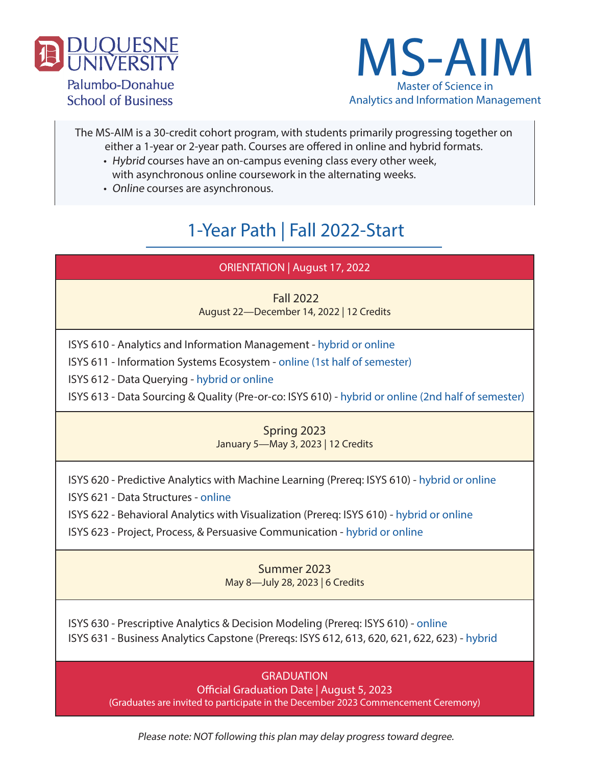

**School of Business** 



The MS-AIM is a 30-credit cohort program, with students primarily progressing together on either a 1-year or 2-year path. Courses are offered in online and hybrid formats.

- Hybrid courses have an on-campus evening class every other week, with asynchronous online coursework in the alternating weeks.
- Online courses are asynchronous.

# 1-Year Path | Fall 2022-Start

## ORIENTATION | August 17, 2022

Fall 2022

August 22—December 14, 2022 | 12 Credits

ISYS 610 - Analytics and Information Management - hybrid or online

ISYS 611 - Information Systems Ecosystem - online (1st half of semester)

ISYS 612 - Data Querying - hybrid or online

ISYS 613 - Data Sourcing & Quality (Pre-or-co: ISYS 610) - hybrid or online (2nd half of semester)

## Spring 2023

January 5—May 3, 2023 | 12 Credits

ISYS 620 - Predictive Analytics with Machine Learning (Prereq: ISYS 610) - hybrid or online

ISYS 621 - Data Structures - online

ISYS 622 - Behavioral Analytics with Visualization (Prereq: ISYS 610) - hybrid or online

ISYS 623 - Project, Process, & Persuasive Communication - hybrid or online

### Summer 2023 May 8—July 28, 2023 | 6 Credits

ISYS 630 - Prescriptive Analytics & Decision Modeling (Prereq: ISYS 610) - online ISYS 631 - Business Analytics Capstone (Prereqs: ISYS 612, 613, 620, 621, 622, 623) - hybrid

### **GRADUATION**

Official Graduation Date | August 5, 2023 (Graduates are invited to participate in the December 2023 Commencement Ceremony)

Please note: NOT following this plan may delay progress toward degree.